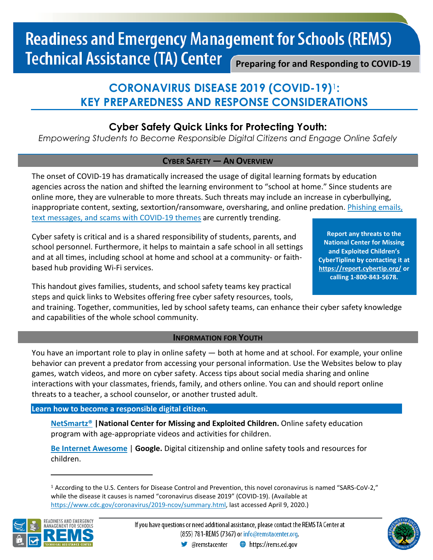# **Readiness and Emergency Management for Schools (REMS) Technical Assistance (TA) Center Preparing for and Responding to COVID-19**

# **CORONAVIRUS DISEASE 2019 (COVID-19)**[1](#page-0-0)**: KEY PREPAREDNESS AND RESPONSE CONSIDERATIONS**

## **Cyber Safety Quick Links for Protecting Youth:**

*Empowering Students to Become Responsible Digital Citizens and Engage Online Safely*

## **CYBER SAFETY — AN OVERVIEW**

The onset of COVID-19 has dramatically increased the usage of digital learning formats by education agencies across the nation and shifted the learning environment to "school at home." Since students are online more, they are vulnerable to more threats. Such threats may include an increase in cyberbullying, inappropriate content, sexting, sextortion/ransomware, oversharing, and online predation. [Phishing emails,](https://www.consumer.ftc.gov/features/coronavirus-scams-what-ftc-doing)  [text messages, and scams with COVID-19 themes](https://www.consumer.ftc.gov/features/coronavirus-scams-what-ftc-doing) are currently trending.

Cyber safety is critical and is a shared responsibility of students, parents, and school personnel. Furthermore, it helps to maintain a safe school in all settings and at all times, including school at home and school at a community- or faithbased hub providing Wi-Fi services.

**Report any threats to the National Center for Missing and Exploited Children's CyberTipline by contacting it at <https://report.cybertip.org/> or calling 1-800-843-5678.**

This handout gives families, students, and school safety teams key practical steps and quick links to Websites offering free cyber safety resources, tools,

and training. Together, communities, led by school safety teams, can enhance their cyber safety knowledge and capabilities of the whole school community.

### **INFORMATION FOR YOUTH**

You have an important role to play in online safety — both at home and at school. For example, your online behavior can prevent a predator from accessing your personal information. Use the Websites below to play games, watch videos, and more on cyber safety. Access tips about social media sharing and online interactions with your classmates, friends, family, and others online. You can and should report online threats to a teacher, a school counselor, or another trusted adult.

### **Learn how to become a responsible digital citizen.**

**[NetSmartz®](https://www.missingkids.org/NetSmartz) |National Center for Missing and Exploited Children.** Online safety education program with age-appropriate videos and activities for children.

**[Be Internet Awesome](https://beinternetawesome.withgoogle.com/en_us)** | **Google.** Digital citizenship and online safety tools and resources for children.

<span id="page-0-0"></span><sup>1</sup> According to the U.S. Centers for Disease Control and Prevention, this novel coronavirus is named "SARS-CoV-2," while the disease it causes is named "coronavirus disease 2019" (COVID-19). (Available at [https://www.cdc.gov/coronavirus/2019-ncov/summary.html,](https://www.cdc.gov/coronavirus/2019-ncov/summary.html) last accessed April 9, 2020.)



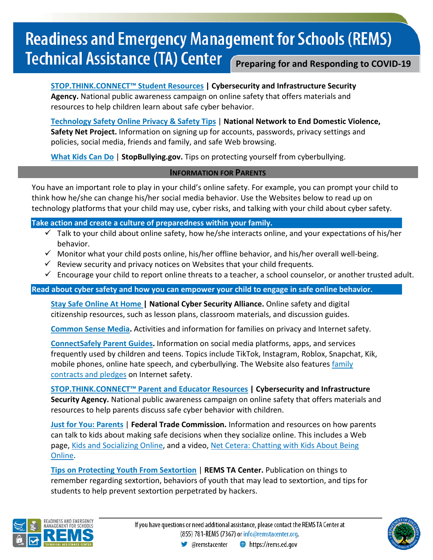# **Readiness and Emergency Management for Schools (REMS) Technical Assistance (TA) Center Preparing for and Responding to COVID-19**

**[STOP.THINK.CONNECT™ Student Resources](https://www.cisa.gov/publication/stopthinkconnect-student-resources) | Cybersecurity and Infrastructure Security Agency.** National public awareness campaign on online safety that offers materials and resources to help children learn about safe cyber behavior.

**[Technology Safety Online Privacy & Safety Tips](https://www.techsafety.org/onlineprivacyandsafetytips/)** | **National Network to End Domestic Violence, Safety Net Project.** Information on signing up for accounts, passwords, privacy settings and policies, social media, friends and family, and safe Web browsing.

**[What Kids Can Do](https://www.stopbullying.gov/resources/kids)** | **StopBullying.gov.** Tips on protecting yourself from cyberbullying.

### **INFORMATION FOR PARENTS**

You have an important role to play in your child's online safety. For example, you can prompt your child to think how he/she can change his/her social media behavior. Use the Websites below to read up on technology platforms that your child may use, cyber risks, and talking with your child about cyber safety.

**Take action and create a culture of preparedness within your family.** 

- $\checkmark$  Talk to your child about online safety, how he/she interacts online, and your expectations of his/her behavior.
- $\checkmark$  Monitor what your child posts online, his/her offline behavior, and his/her overall well-being.
- $\checkmark$  Review security and privacy notices on Websites that your child frequents.
- $\checkmark$  Encourage your child to report online threats to a teacher, a school counselor, or another trusted adult.

**Read about cyber safety and how you can empower your child to engage in safe online behavior.**

**Stay Safe [Online](https://staysafeonline.org/get-involved/at-home/) At Home | National Cyber Security Alliance.** Online safety and digital citizenship resources, such as lesson plans, classroom materials, and discussion guides.

**[Common Sense Media.](https://www.commonsensemedia.org/)** Activities and information for families on privacy and Internet safety.

**[ConnectSafely Parent](https://www.connectsafely.org/parentguides/) Guides.** Information on social media platforms, apps, and services frequently used by children and teens. Topics include TikTok, Instagram, Roblox, Snapchat, Kik, mobile phones, online hate speech, and cyberbullying. The Website also features [family](https://www.connectsafely.org/contracts/) [contracts](https://www.connectsafely.org/contracts/) and pledges on Internet safety.

**[STOP.THINK.CONNECT™ Parent and Educator Resources](https://www.cisa.gov/publication/stopthinkconnect-parent-and-educator-resources) | Cybersecurity and Infrastructure Security Agency.** National public awareness campaign on online safety that offers materials and resources to help parents discuss safe cyber behavior with children.

**Just for You: [Parents](https://www.consumer.ftc.gov/features/feature-0002-parents)** | **Federal Trade Commission.** Information and resources on how parents can talk to kids about making safe decisions when they socialize online. This includes a Web page, Kids and [Socializing](https://www.consumer.ftc.gov/articles/0012-kids-and-socializing-online) Online, and a video, Net Cetera: [Chatting](https://www.consumer.ftc.gov/media/video-0001-net-cetera-chatting-kids-about-being-online) with Kids About Being [Online.](https://www.consumer.ftc.gov/media/video-0001-net-cetera-chatting-kids-about-being-online)

**[Tips on Protecting Youth From Sextortion](https://rems.ed.gov/docs/Tips_on_Protecting_Youth_From_Sextortion_508C%5b1%5d.pdf)** | **REMS TA Center.** Publication on things to remember regarding sextortion, behaviors of youth that may lead to sextortion, and tips for students to help prevent sextortion perpetrated by hackers.